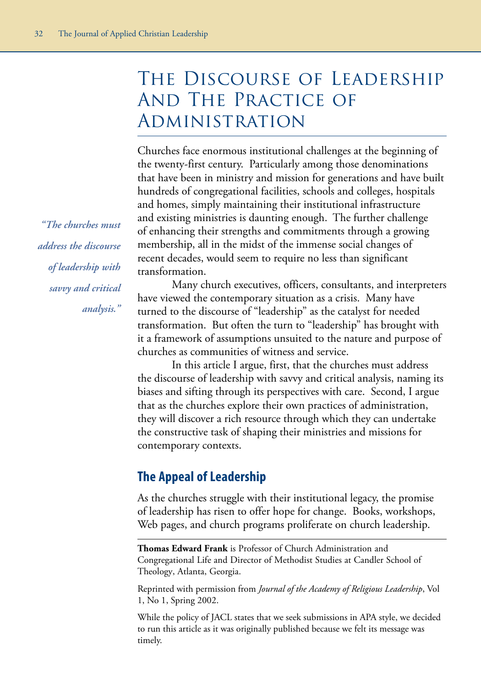# The Discourse of Leadership And The Practice of Administration

Churches face enormous institutional challenges at the beginning of the twenty-first century. Particularly among those denominations that have been in ministry and mission for generations and have built hundreds of congregational facilities, schools and colleges, hospitals and homes, simply maintaining their institutional infrastructure and existing ministries is daunting enough. The further challenge of enhancing their strengths and commitments through a growing membership, all in the midst of the immense social changes of recent decades, would seem to require no less than significant transformation.

Many church executives, officers, consultants, and interpreters have viewed the contemporary situation as a crisis. Many have turned to the discourse of "leadership" as the catalyst for needed transformation. But often the turn to "leadership" has brought with it a framework of assumptions unsuited to the nature and purpose of churches as communities of witness and service.

In this article I argue, first, that the churches must address the discourse of leadership with savvy and critical analysis, naming its biases and sifting through its perspectives with care. Second, I argue that as the churches explore their own practices of administration, they will discover a rich resource through which they can undertake the constructive task of shaping their ministries and missions for contemporary contexts.

# **The Appeal of Leadership**

As the churches struggle with their institutional legacy, the promise of leadership has risen to offer hope for change. Books, workshops, Web pages, and church programs proliferate on church leadership.

**Thomas Edward Frank** is Professor of Church Administration and Congregational Life and Director of Methodist Studies at Candler School of Theology, Atlanta, Georgia.

Reprinted with permission from *Journal of the Academy of Religious Leadership*, Vol 1, No 1, Spring 2002.

While the policy of JACL states that we seek submissions in APA style, we decided to run this article as it was originally published because we felt its message was timely.

*"The churches must address the discourse of leadership with savvy and critical analysis."*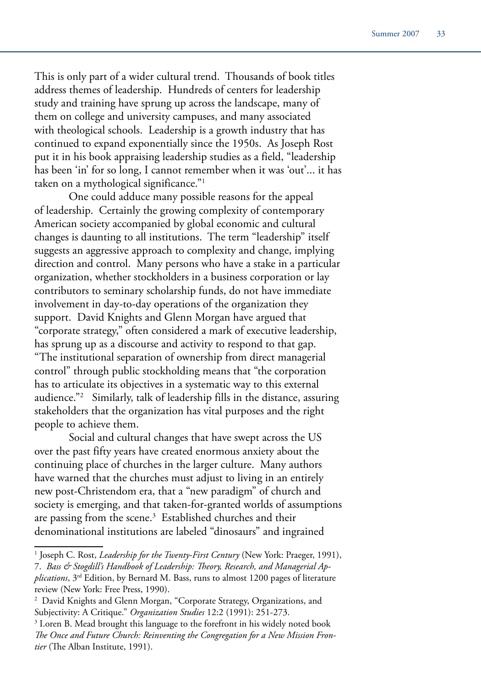This is only part of a wider cultural trend. Thousands of book titles address themes of leadership. Hundreds of centers for leadership study and training have sprung up across the landscape, many of them on college and university campuses, and many associated with theological schools. Leadership is a growth industry that has continued to expand exponentially since the 1950s. As Joseph Rost put it in his book appraising leadership studies as a field, "leadership has been 'in' for so long, I cannot remember when it was 'out'... it has taken on a mythological significance."1

One could adduce many possible reasons for the appeal of leadership. Certainly the growing complexity of contemporary American society accompanied by global economic and cultural changes is daunting to all institutions. The term "leadership" itself suggests an aggressive approach to complexity and change, implying direction and control. Many persons who have a stake in a particular organization, whether stockholders in a business corporation or lay contributors to seminary scholarship funds, do not have immediate involvement in day-to-day operations of the organization they support. David Knights and Glenn Morgan have argued that "corporate strategy," often considered a mark of executive leadership, has sprung up as a discourse and activity to respond to that gap. "The institutional separation of ownership from direct managerial control" through public stockholding means that "the corporation has to articulate its objectives in a systematic way to this external audience."2 Similarly, talk of leadership fills in the distance, assuring stakeholders that the organization has vital purposes and the right people to achieve them.

Social and cultural changes that have swept across the US over the past fifty years have created enormous anxiety about the continuing place of churches in the larger culture. Many authors have warned that the churches must adjust to living in an entirely new post-Christendom era, that a "new paradigm" of church and society is emerging, and that taken-for-granted worlds of assumptions are passing from the scene. $3$  Established churches and their denominational institutions are labeled "dinosaurs" and ingrained

<sup>&</sup>lt;sup>1</sup> Joseph C. Rost, *Leadership for the Twenty-First Century* (New York: Praeger, 1991), 7. *Bass & Stogdill's Handbook of Leadership: Theory, Research, and Managerial Applications*, 3rd Edition, by Bernard M. Bass, runs to almost 1200 pages of literature review (New York: Free Press, 1990).

<sup>2</sup> David Knights and Glenn Morgan, "Corporate Strategy, Organizations, and Subjectivity: A Critique." *Organization Studies* 12:2 (1991): 251-273.

 $3$  I.oren B. Mead brought this language to the forefront in his widely noted book *The Once and Future Church: Reinventing the Congregation for a New Mission Frontier* (The Alban Institute, 1991).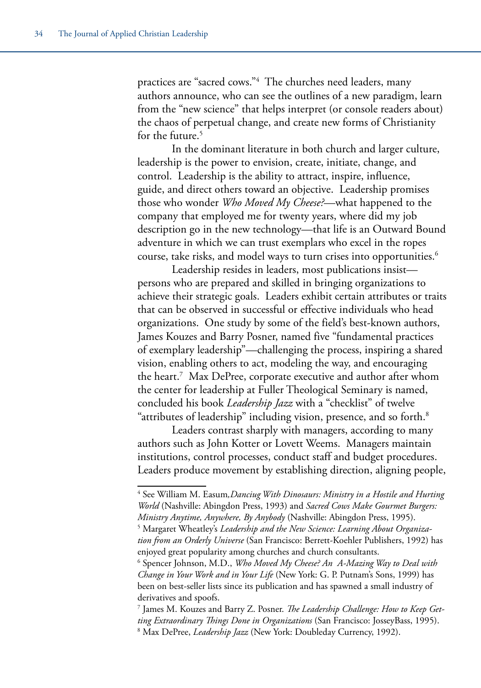practices are "sacred cows."4 The churches need leaders, many authors announce, who can see the outlines of a new paradigm, learn from the "new science" that helps interpret (or console readers about) the chaos of perpetual change, and create new forms of Christianity for the future. $5$ 

In the dominant literature in both church and larger culture, leadership is the power to envision, create, initiate, change, and control. Leadership is the ability to attract, inspire, influence, guide, and direct others toward an objective. Leadership promises those who wonder *Who Moved My Cheese?*—what happened to the company that employed me for twenty years, where did my job description go in the new technology—that life is an Outward Bound adventure in which we can trust exemplars who excel in the ropes course, take risks, and model ways to turn crises into opportunities.<sup>6</sup>

Leadership resides in leaders, most publications insist persons who are prepared and skilled in bringing organizations to achieve their strategic goals. Leaders exhibit certain attributes or traits that can be observed in successful or effective individuals who head organizations. One study by some of the field's best-known authors, James Kouzes and Barry Posner, named five "fundamental practices of exemplary leadership"—challenging the process, inspiring a shared vision, enabling others to act, modeling the way, and encouraging the heart.7 Max DePree, corporate executive and author after whom the center for leadership at Fuller Theological Seminary is named, concluded his book *Leadership Jazz* with a "checklist" of twelve "attributes of leadership" including vision, presence, and so forth.8

Leaders contrast sharply with managers, according to many authors such as John Kotter or Lovett Weems. Managers maintain institutions, control processes, conduct staff and budget procedures. Leaders produce movement by establishing direction, aligning people,

4 See William M. Easum*,Danciug With Dinosaurs: Ministry in a Hostile and Hurting World* (Nashville: Abingdon Press, 1993) and *Sacred Cows Make Gourmet Burgers: Ministry Anytime, Anywhere, By Anybody* (Nashville: Abingdon Press, 1995). 5 Margaret Wheatley's *Leadership and the New Science: Learning About Organization from an Orderly Universe* (San Francisco: Berrett-Koehler Publishers, 1992) has enjoyed great popularity among churches and church consultants.

<sup>6</sup> Spencer Johnson, M.D., *Who Moved My Cheese? An A-Mazing Way to Deal with Change in Your Work and in Your Life* (New York: G. P. Putnam's Sons, 1999) has been on best-seller lists since its publication and has spawned a small industry of derivatives and spoofs.

<sup>7</sup> James M. Kouzes and Barry Z. Posner. *The Leadership Challenge: How to Keep Getting Extraordinary Things Done in Organizations* (San Francisco: JosseyBass, 1995). 8 Max DePree, *Leadership Jazz* (New York: Doubleday Currency, 1992).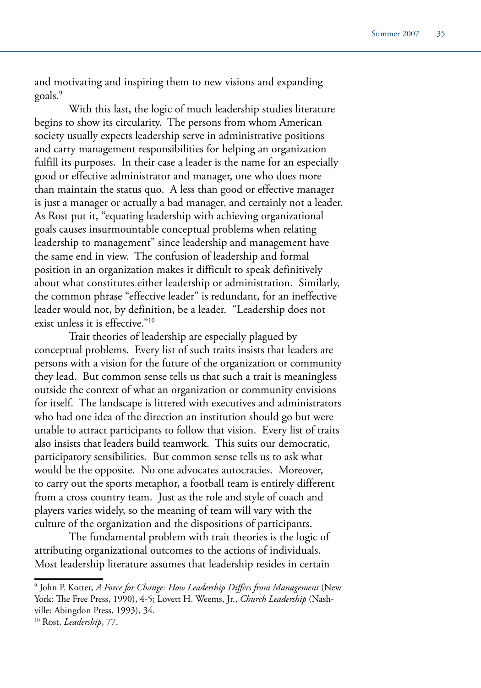and motivating and inspiring them to new visions and expanding goals.<sup>9</sup>

With this last, the logic of much leadership studies literature begins to show its circularity. The persons from whom American society usually expects leadership serve in administrative positions and carry management responsibilities for helping an organization fulfill its purposes. In their case a leader is the name for an especially good or effective administrator and manager, one who does more than maintain the status quo. A less than good or effective manager is just a manager or actually a bad manager, and certainly not a leader. As Rost put it, "equating leadership with achieving organizational goals causes insurmountable conceptual problems when relating leadership to management" since leadership and management have the same end in view. The confusion of leadership and formal position in an organization makes it difficult to speak definitively about what constitutes either leadership or administration. Similarly, the common phrase "effective leader" is redundant, for an ineffective leader would not, by definition, be a leader. "Leadership does not exist unless it is effective."10

Trait theories of leadership are especially plagued by conceptual problems. Every list of such traits insists that leaders are persons with a vision for the future of the organization or community they lead. But common sense tells us that such a trait is meaningless outside the context of what an organization or community envisions for itself. The landscape is littered with executives and administrators who had one idea of the direction an institution should go but were unable to attract participants to follow that vision. Every list of traits also insists that leaders build teamwork. This suits our democratic, participatory sensibilities. But common sense tells us to ask what would be the opposite. No one advocates autocracies. Moreover, to carry out the sports metaphor, a football team is entirely different from a cross country team. Just as the role and style of coach and players varies widely, so the meaning of team will vary with the culture of the organization and the dispositions of participants.

The fundamental problem with trait theories is the logic of attributing organizational outcomes to the actions of individuals. Most leadership literature assumes that leadership resides in certain

<sup>9</sup> John P. Kotter, *A Force for Change: How Leadership Differs from Management* (New York: The Free Press, 1990), 4-5; Lovett H. Weems, Jr., *Church Leadership* (Nashville: Abingdon Press, 1993), 34.

<sup>10</sup> Rost, *Leadership*, 77.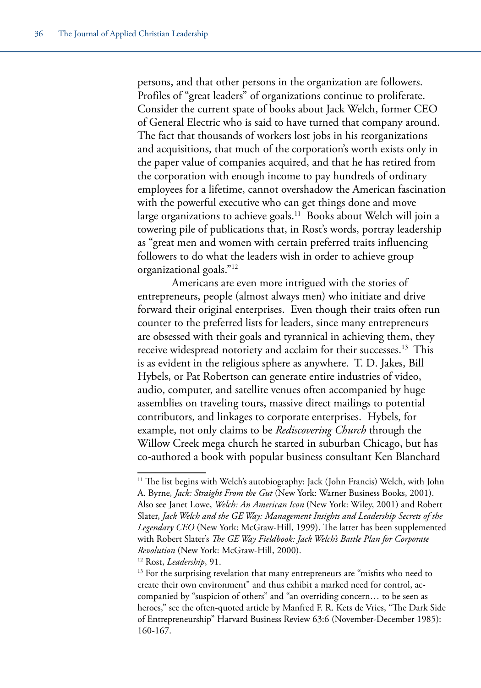persons, and that other persons in the organization are followers. Profiles of "great leaders" of organizations continue to proliferate. Consider the current spate of books about Jack Welch, former CEO of General Electric who is said to have turned that company around. The fact that thousands of workers lost jobs in his reorganizations and acquisitions, that much of the corporation's worth exists only in the paper value of companies acquired, and that he has retired from the corporation with enough income to pay hundreds of ordinary employees for a lifetime, cannot overshadow the American fascination with the powerful executive who can get things done and move large organizations to achieve goals.<sup>11</sup> Books about Welch will join a towering pile of publications that, in Rost's words, portray leadership as "great men and women with certain preferred traits influencing followers to do what the leaders wish in order to achieve group organizational goals."12

Americans are even more intrigued with the stories of entrepreneurs, people (almost always men) who initiate and drive forward their original enterprises. Even though their traits often run counter to the preferred lists for leaders, since many entrepreneurs are obsessed with their goals and tyrannical in achieving them, they receive widespread notoriety and acclaim for their successes.<sup>13</sup> This is as evident in the religious sphere as anywhere. T. D. Jakes, Bill Hybels, or Pat Robertson can generate entire industries of video, audio, computer, and satellite venues often accompanied by huge assemblies on traveling tours, massive direct mailings to potential contributors, and linkages to corporate enterprises. Hybels, for example, not only claims to be *Rediscovering Church* through the Willow Creek mega church he started in suburban Chicago, but has co-authored a book with popular business consultant Ken Blanchard

12 Rost, *Leadership*, 91.

<sup>&</sup>lt;sup>11</sup> The list begins with Welch's autobiography: Jack (John Francis) Welch, with John A. Byrne*, Jack: Straight From the Gut* (New York: Warner Business Books, 2001). Also see Janet Lowe, *Welch: An American Icon* (New York: Wiley, 2001) and Robert Slater, *Jack Welch and the GE Way: Management Insights and Leadership Secrets of the Legendary CEO* (New York: McGraw-Hill, 1999). The latter has been supplemented with Robert Slater's *The GE Way Fieldbook: Jack Welch's Battle Plan for Corporate Revolution* (New York: McGraw-Hill, 2000).

<sup>&</sup>lt;sup>13</sup> For the surprising revelation that many entrepreneurs are "misfits who need to create their own environment" and thus exhibit a marked need for control, accompanied by "suspicion of others" and "an overriding concern… to be seen as heroes," see the often-quoted article by Manfred F. R. Kets de Vries, "The Dark Side of Entrepreneurship" Harvard Business Review 63:6 (November-December 1985): 160-167.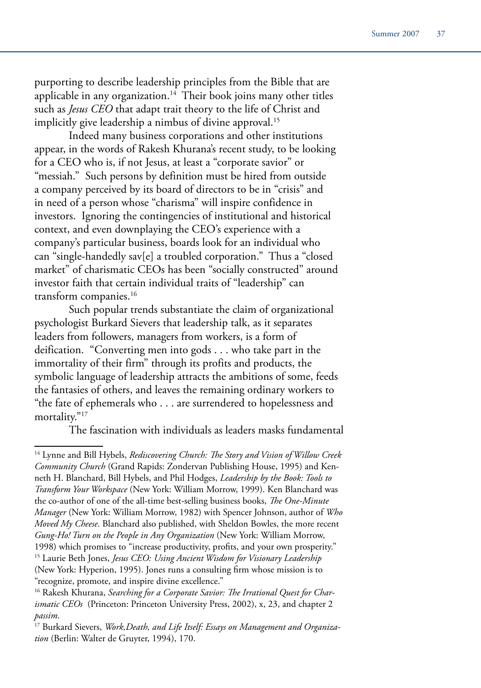purporting to describe leadership principles from the Bible that are applicable in any organization.<sup>14</sup> Their book joins many other titles such as *Jesus CEO* that adapt trait theory to the life of Christ and implicitly give leadership a nimbus of divine approval.<sup>15</sup>

Indeed many business corporations and other institutions appear, in the words of Rakesh Khurana's recent study, to be looking for a CEO who is, if not Jesus, at least a "corporate savior" or "messiah." Such persons by definition must be hired from outside a company perceived by its board of directors to be in "crisis" and in need of a person whose "charisma" will inspire confidence in investors. Ignoring the contingencies of institutional and historical context, and even downplaying the CEO's experience with a company's particular business, boards look for an individual who can "single-handedly sav[e] a troubled corporation." Thus a "closed market" of charismatic CEOs has been "socially constructed" around investor faith that certain individual traits of "leadership" can transform companies.<sup>16</sup>

Such popular trends substantiate the claim of organizational psychologist Burkard Sievers that leadership talk, as it separates leaders from followers, managers from workers, is a form of deification. "Converting men into gods . . . who take part in the immortality of their firm" through its profits and products, the symbolic language of leadership attracts the ambitions of some, feeds the fantasies of others, and leaves the remaining ordinary workers to "the fate of ephemerals who . . . are surrendered to hopelessness and mortality."17

The fascination with individuals as leaders masks fundamental

<sup>14</sup> Lynne and Bill Hybels, *Rediscovering Church: The Story and Vision of Willow Creek Community Church* (Grand Rapids: Zondervan Publishing House, 1995) and Kenneth H. Blanchard, Bill Hybels, and Phil Hodges, *Leadership by the Book: Tools to Transform Your Workspace* (New York: William Morrow, 1999). Ken Blanchard was the co-author of one of the all-time best-selling business books, *The One-Minute Manager* (New York: William Morrow, 1982) with Spencer Johnson, author of *Who Moved My Cheese*. Blanchard also published, with Sheldon Bowles, the more recent *Gung-Ho! Turn on the People in Any Organization* (New York: William Morrow, 1998) which promises to "increase productivity, profits, and your own prosperity." 15 Laurie Beth Jones, *Jesus CEO: Using Ancient Wisdom for Visionary Leadership* (New York: Hyperion, 1995). Jones runs a consulting firm whose mission is to "recognize, promote, and inspire divine excellence."

<sup>16</sup> Rakesh Khurana, *Searching for a Corporate Savior: The Irrational Quest for Charismatic CEOs* (Princeton: Princeton University Press, 2002), x, 23, and chapter 2 *passim*.

<sup>&</sup>lt;sup>17</sup> Burkard Sievers, *Work, Death, and Life Itself: Essays on Management and Organization* (Berlin: Walter de Gruyter, 1994), 170.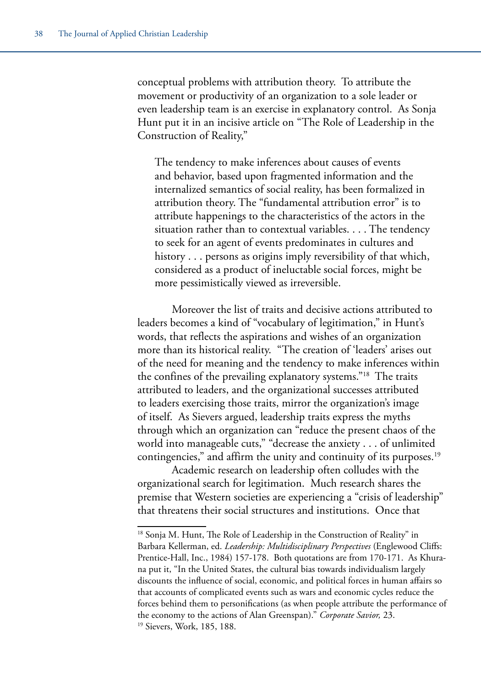conceptual problems with attribution theory. To attribute the movement or productivity of an organization to a sole leader or even leadership team is an exercise in explanatory control. As Sonja Hunt put it in an incisive article on "The Role of Leadership in the Construction of Reality,"

The tendency to make inferences about causes of events and behavior, based upon fragmented information and the internalized semantics of social reality, has been formalized in attribution theory. The "fundamental attribution error" is to attribute happenings to the characteristics of the actors in the situation rather than to contextual variables. . . . The tendency to seek for an agent of events predominates in cultures and history . . . persons as origins imply reversibility of that which, considered as a product of ineluctable social forces, might be more pessimistically viewed as irreversible.

Moreover the list of traits and decisive actions attributed to leaders becomes a kind of "vocabulary of legitimation," in Hunt's words, that reflects the aspirations and wishes of an organization more than its historical reality. "The creation of 'leaders' arises out of the need for meaning and the tendency to make inferences within the confines of the prevailing explanatory systems."18 The traits attributed to leaders, and the organizational successes attributed to leaders exercising those traits, mirror the organization's image of itself. As Sievers argued, leadership traits express the myths through which an organization can "reduce the present chaos of the world into manageable cuts," "decrease the anxiety . . . of unlimited contingencies," and affirm the unity and continuity of its purposes.<sup>19</sup>

Academic research on leadership often colludes with the organizational search for legitimation. Much research shares the premise that Western societies are experiencing a "crisis of leadership" that threatens their social structures and institutions. Once that

<sup>&</sup>lt;sup>18</sup> Sonja M. Hunt, The Role of Leadership in the Construction of Reality" in Barbara Kellerman, ed. *Leadership: Multidisciplinary Perspectives* (Englewood Cliffs: Prentice-Hall, Inc., 1984) 157-178. Both quotations are from 170-171. As Khurana put it, "In the United States, the cultural bias towards individualism largely discounts the influence of social, economic, and political forces in human affairs so that accounts of complicated events such as wars and economic cycles reduce the forces behind them to personifications (as when people attribute the performance of the economy to the actions of Alan Greenspan)." *Corporate Savior,* 23. 19 Sievers, Work, 185, 188.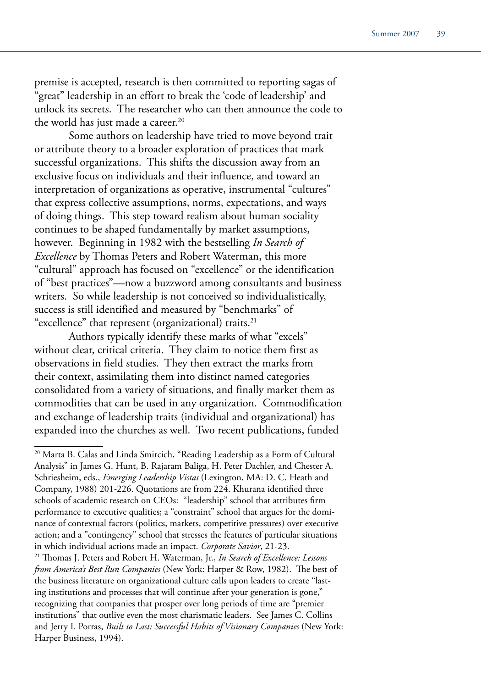premise is accepted, research is then committed to reporting sagas of "great" leadership in an effort to break the 'code of leadership' and unlock its secrets. The researcher who can then announce the code to the world has just made a career.<sup>20</sup>

Some authors on leadership have tried to move beyond trait or attribute theory to a broader exploration of practices that mark successful organizations. This shifts the discussion away from an exclusive focus on individuals and their influence, and toward an interpretation of organizations as operative, instrumental "cultures" that express collective assumptions, norms, expectations, and ways of doing things. This step toward realism about human sociality continues to be shaped fundamentally by market assumptions, however. Beginning in 1982 with the bestselling *In Search of Excellence* by Thomas Peters and Robert Waterman, this more "cultural" approach has focused on "excellence" or the identification of "best practices"—now a buzzword among consultants and business writers. So while leadership is not conceived so individualistically, success is still identified and measured by "benchmarks" of "excellence" that represent (organizational) traits.<sup>21</sup>

Authors typically identify these marks of what "excels" without clear, critical criteria. They claim to notice them first as observations in field studies. They then extract the marks from their context, assimilating them into distinct named categories consolidated from a variety of situations, and finally market them as commodities that can be used in any organization. Commodification and exchange of leadership traits (individual and organizational) has expanded into the churches as well. Two recent publications, funded

<sup>&</sup>lt;sup>20</sup> Marta B. Calas and Linda Smircich, "Reading Leadership as a Form of Cultural Analysis" in James G. Hunt, B. Rajaram Baliga, H. Peter Dachler, and Chester A. Schriesheim, eds., *Emerging Leadership Vistas* (Lexington, MA: D. C. Heath and Company, 1988) 201-226. Quotations are from 224. Khurana identified three schools of academic research on CEOs: "leadership" school that attributes firm performance to executive qualities; a "constraint" school that argues for the dominance of contextual factors (politics, markets, competitive pressures) over executive action; and a "contingency" school that stresses the features of particular situations in which individual actions made an impact. *Corporate Savior*, 21-23.

<sup>21</sup> Thomas J. Peters and Robert H. Waterman, Jr., *In Search of Excellence: Lessons from America's Best Run Companies* (New York: Harper & Row, 1982). The best of the business literature on organizational culture calls upon leaders to create "lasting institutions and processes that will continue after your generation is gone," recognizing that companies that prosper over long periods of time are "premier institutions" that outlive even the most charismatic leaders. See James C. Collins and Jerry I. Porras, *Built to Last: Successful Habits of Visionary Companies* (New York: Harper Business, 1994).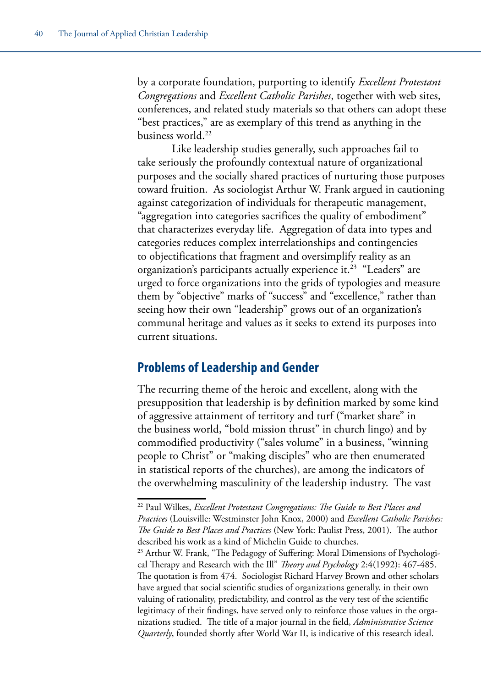by a corporate foundation, purporting to identify *Excellent Protestant Congregations* and *Excellent Catholic Parishes*, together with web sites, conferences, and related study materials so that others can adopt these "best practices," are as exemplary of this trend as anything in the business world.<sup>22</sup>

Like leadership studies generally, such approaches fail to take seriously the profoundly contextual nature of organizational purposes and the socially shared practices of nurturing those purposes toward fruition. As sociologist Arthur W. Frank argued in cautioning against categorization of individuals for therapeutic management, "aggregation into categories sacrifices the quality of embodiment" that characterizes everyday life. Aggregation of data into types and categories reduces complex interrelationships and contingencies to objectifications that fragment and oversimplify reality as an organization's participants actually experience it.<sup>23</sup> "Leaders" are urged to force organizations into the grids of typologies and measure them by "objective" marks of "success" and "excellence," rather than seeing how their own "leadership" grows out of an organization's communal heritage and values as it seeks to extend its purposes into current situations.

## **Problems of Leadership and Gender**

The recurring theme of the heroic and excellent, along with the presupposition that leadership is by definition marked by some kind of aggressive attainment of territory and turf ("market share" in the business world, "bold mission thrust" in church lingo) and by commodified productivity ("sales volume" in a business, "winning people to Christ" or "making disciples" who are then enumerated in statistical reports of the churches), are among the indicators of the overwhelming masculinity of the leadership industry. The vast

<sup>22</sup> Paul Wilkes, *Excellent Protestant Congregations: The Guide to Best Places and Practices* (Louisville: Westminster John Knox, 2000) and *Excellent Catholic Parishes: The Guide to Best Places and Practices* (New York: Paulist Press, 2001). The author described his work as a kind of Michelin Guide to churches.

<sup>&</sup>lt;sup>23</sup> Arthur W. Frank, "The Pedagogy of Suffering: Moral Dimensions of Psychological Therapy and Research with the Ill" *Theory and Psychology* 2:4(1992): 467-485. The quotation is from 474. Sociologist Richard Harvey Brown and other scholars have argued that social scientific studies of organizations generally, in their own valuing of rationality, predictability, and control as the very test of the scientific legitimacy of their findings, have served only to reinforce those values in the organizations studied. The title of a major journal in the field, *Administrative Science Quarterly*, founded shortly after World War II, is indicative of this research ideal.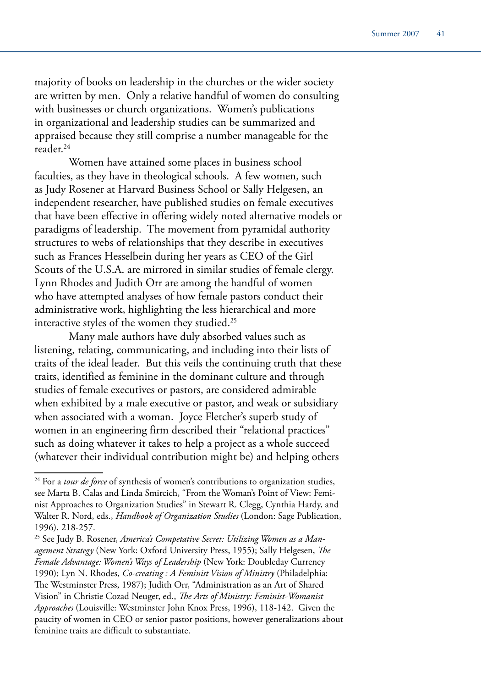majority of books on leadership in the churches or the wider society are written by men. Only a relative handful of women do consulting with businesses or church organizations. Women's publications in organizational and leadership studies can be summarized and appraised because they still comprise a number manageable for the reader.24

Women have attained some places in business school faculties, as they have in theological schools. A few women, such as Judy Rosener at Harvard Business School or Sally Helgesen, an independent researcher, have published studies on female executives that have been effective in offering widely noted alternative models or paradigms of leadership. The movement from pyramidal authority structures to webs of relationships that they describe in executives such as Frances Hesselbein during her years as CEO of the Girl Scouts of the U.S.A. are mirrored in similar studies of female clergy. Lynn Rhodes and Judith Orr are among the handful of women who have attempted analyses of how female pastors conduct their administrative work, highlighting the less hierarchical and more interactive styles of the women they studied.25

Many male authors have duly absorbed values such as listening, relating, communicating, and including into their lists of traits of the ideal leader. But this veils the continuing truth that these traits, identified as feminine in the dominant culture and through studies of female executives or pastors, are considered admirable when exhibited by a male executive or pastor, and weak or subsidiary when associated with a woman. Joyce Fletcher's superb study of women in an engineering firm described their "relational practices" such as doing whatever it takes to help a project as a whole succeed (whatever their individual contribution might be) and helping others

<sup>&</sup>lt;sup>24</sup> For a *tour de force* of synthesis of women's contributions to organization studies, see Marta B. Calas and Linda Smircich, "From the Woman's Point of View: Feminist Approaches to Organization Studies" in Stewart R. Clegg, Cynthia Hardy, and Walter R. Nord, eds., *Handbook of Organization Studies* (London: Sage Publication, 1996), 218-257.

<sup>25</sup> See Judy B. Rosener, *America's Competative Secret: Utilizing Women as a Management Strategy* (New York: Oxford University Press, 1955); Sally Helgesen, *The Female Advantage: Women's Ways of Leadership* (New York: Doubleday Currency 1990); Lyn N. Rhodes, *Co-creating : A Feminist Vision of Ministry* (Philadelphia: The Westminster Press, 1987); Judith Orr, "Administration as an Art of Shared Vision" in Christie Cozad Neuger, ed., *The Arts of Ministry: Feminist-Womanist Approaches* (Louisville: Westminster John Knox Press, 1996), 118-142. Given the paucity of women in CEO or senior pastor positions, however generalizations about feminine traits are difficult to substantiate.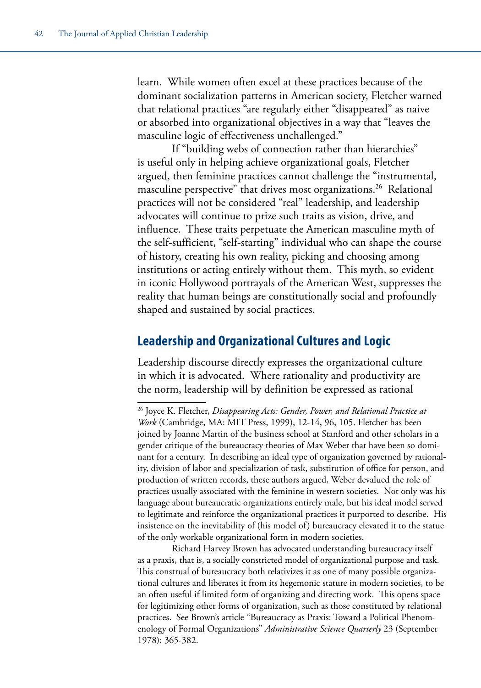learn. While women often excel at these practices because of the dominant socialization patterns in American society, Fletcher warned that relational practices "are regularly either "disappeared" as naive or absorbed into organizational objectives in a way that "leaves the masculine logic of effectiveness unchallenged."

If "building webs of connection rather than hierarchies" is useful only in helping achieve organizational goals, Fletcher argued, then feminine practices cannot challenge the "instrumental, masculine perspective" that drives most organizations.<sup>26</sup> Relational practices will not be considered "real" leadership, and leadership advocates will continue to prize such traits as vision, drive, and influence. These traits perpetuate the American masculine myth of the self-sufficient, "self-starting" individual who can shape the course of history, creating his own reality, picking and choosing among institutions or acting entirely without them. This myth, so evident in iconic Hollywood portrayals of the American West, suppresses the reality that human beings are constitutionally social and profoundly shaped and sustained by social practices.

### **Leadership and Organizational Cultures and Logic**

Leadership discourse directly expresses the organizational culture in which it is advocated. Where rationality and productivity are the norm, leadership will by definition be expressed as rational

Richard Harvey Brown has advocated understanding bureaucracy itself as a praxis, that is, a socially constricted model of organizational purpose and task. This construal of bureaucracy both relativizes it as one of many possible organizational cultures and liberates it from its hegemonic stature in modern societies, to be an often useful if limited form of organizing and directing work. This opens space for legitimizing other forms of organization, such as those constituted by relational practices. See Brown's article "Bureaucracy as Praxis: Toward a Political Phenomenology of Formal Organizations" *Administrative Science Quarterly* 23 (September 1978): 365-382.

<sup>26</sup> Joyce K. Fletcher, *Disappearing Acts: Gender, Power, and Relational Practice at Work* (Cambridge, MA: MIT Press, 1999), 12-14, 96, 105. Fletcher has been joined by Joanne Martin of the business school at Stanford and other scholars in a gender critique of the bureaucracy theories of Max Weber that have been so dominant for a century. In describing an ideal type of organization governed by rationality, division of labor and specialization of task, substitution of office for person, and production of written records, these authors argued, Weber devalued the role of practices usually associated with the feminine in western societies. Not only was his language about bureaucratic organizations entirely male, but his ideal model served to legitimate and reinforce the organizational practices it purported to describe. His insistence on the inevitability of (his model of) bureaucracy elevated it to the statue of the only workable organizational form in modern societies.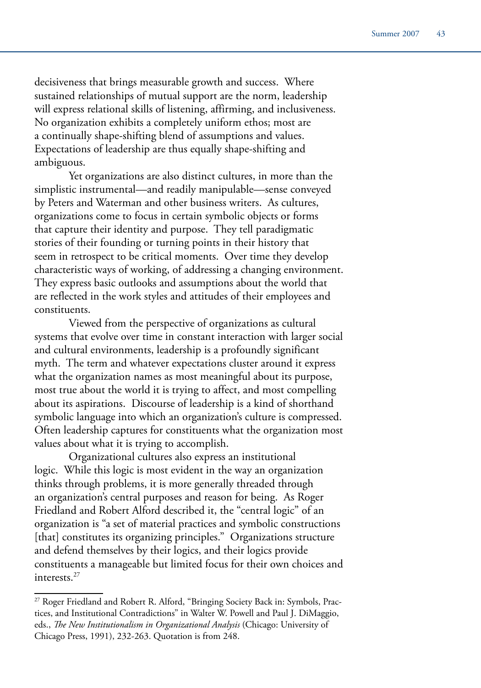decisiveness that brings measurable growth and success. Where sustained relationships of mutual support are the norm, leadership will express relational skills of listening, affirming, and inclusiveness. No organization exhibits a completely uniform ethos; most are a continually shape-shifting blend of assumptions and values. Expectations of leadership are thus equally shape-shifting and ambiguous.

Yet organizations are also distinct cultures, in more than the simplistic instrumental—and readily manipulable—sense conveyed by Peters and Waterman and other business writers. As cultures, organizations come to focus in certain symbolic objects or forms that capture their identity and purpose. They tell paradigmatic stories of their founding or turning points in their history that seem in retrospect to be critical moments. Over time they develop characteristic ways of working, of addressing a changing environment. They express basic outlooks and assumptions about the world that are reflected in the work styles and attitudes of their employees and constituents.

Viewed from the perspective of organizations as cultural systems that evolve over time in constant interaction with larger social and cultural environments, leadership is a profoundly significant myth. The term and whatever expectations cluster around it express what the organization names as most meaningful about its purpose, most true about the world it is trying to affect, and most compelling about its aspirations. Discourse of leadership is a kind of shorthand symbolic language into which an organization's culture is compressed. Often leadership captures for constituents what the organization most values about what it is trying to accomplish.

Organizational cultures also express an institutional logic. While this logic is most evident in the way an organization thinks through problems, it is more generally threaded through an organization's central purposes and reason for being. As Roger Friedland and Robert Alford described it, the "central logic" of an organization is "a set of material practices and symbolic constructions [that] constitutes its organizing principles." Organizations structure and defend themselves by their logics, and their logics provide constituents a manageable but limited focus for their own choices and interests.<sup>27</sup>

<sup>&</sup>lt;sup>27</sup> Roger Friedland and Robert R. Alford, "Bringing Society Back in: Symbols, Practices, and Institutional Contradictions" in Walter W. Powell and Paul J. DiMaggio, eds., *The New Institutionalism in Organizational Analysis* (Chicago: University of Chicago Press, 1991), 232-263. Quotation is from 248.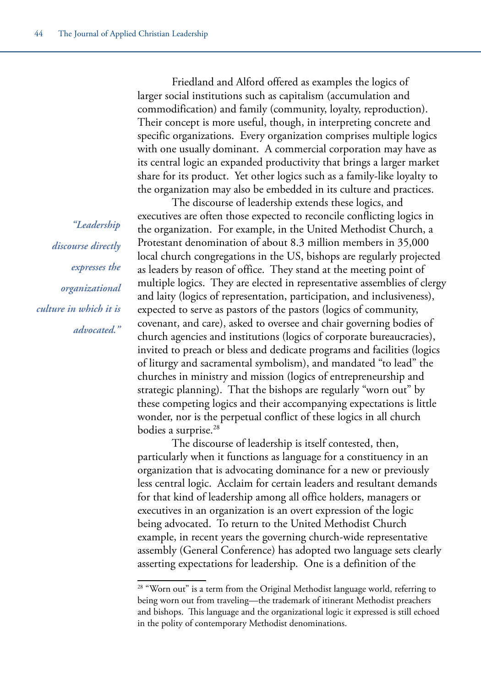Friedland and Alford offered as examples the logics of larger social institutions such as capitalism (accumulation and commodification) and family (community, loyalty, reproduction). Their concept is more useful, though, in interpreting concrete and specific organizations. Every organization comprises multiple logics with one usually dominant. A commercial corporation may have as its central logic an expanded productivity that brings a larger market share for its product. Yet other logics such as a family-like loyalty to the organization may also be embedded in its culture and practices.

The discourse of leadership extends these logics, and executives are often those expected to reconcile conflicting logics in the organization. For example, in the United Methodist Church, a Protestant denomination of about 8.3 million members in 35,000 local church congregations in the US, bishops are regularly projected as leaders by reason of office. They stand at the meeting point of multiple logics. They are elected in representative assemblies of clergy and laity (logics of representation, participation, and inclusiveness), expected to serve as pastors of the pastors (logics of community, covenant, and care), asked to oversee and chair governing bodies of church agencies and institutions (logics of corporate bureaucracies), invited to preach or bless and dedicate programs and facilities (logics of liturgy and sacramental symbolism), and mandated "to lead" the churches in ministry and mission (logics of entrepreneurship and strategic planning). That the bishops are regularly "worn out" by these competing logics and their accompanying expectations is little wonder, nor is the perpetual conflict of these logics in all church bodies a surprise.<sup>28</sup>

The discourse of leadership is itself contested, then, particularly when it functions as language for a constituency in an organization that is advocating dominance for a new or previously less central logic. Acclaim for certain leaders and resultant demands for that kind of leadership among all office holders, managers or executives in an organization is an overt expression of the logic being advocated. To return to the United Methodist Church example, in recent years the governing church-wide representative assembly (General Conference) has adopted two language sets clearly asserting expectations for leadership. One is a definition of the

*"Leadership discourse directly expresses the organizational culture in which it is advocated."*

<sup>&</sup>lt;sup>28</sup> "Worn out" is a term from the Original Methodist language world, referring to being worn out from traveling—the trademark of itinerant Methodist preachers and bishops. This language and the organizational logic it expressed is still echoed in the polity of contemporary Methodist denominations.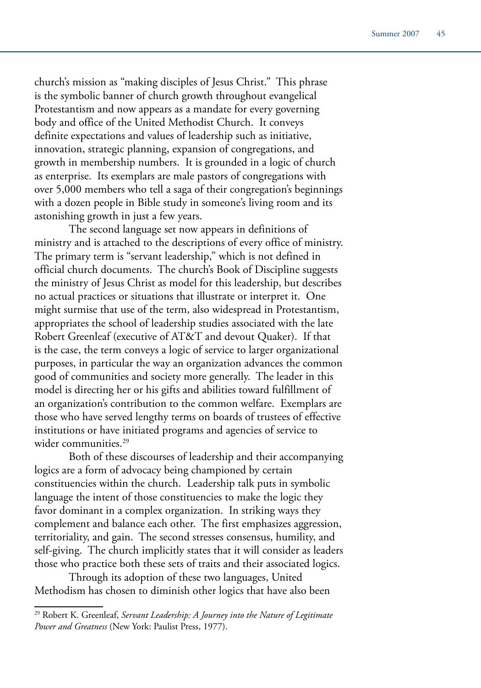church's mission as "making disciples of Jesus Christ." This phrase is the symbolic banner of church growth throughout evangelical Protestantism and now appears as a mandate for every governing body and office of the United Methodist Church. It conveys definite expectations and values of leadership such as initiative, innovation, strategic planning, expansion of congregations, and growth in membership numbers. It is grounded in a logic of church as enterprise. Its exemplars are male pastors of congregations with over 5,000 members who tell a saga of their congregation's beginnings with a dozen people in Bible study in someone's living room and its astonishing growth in just a few years.

The second language set now appears in definitions of ministry and is attached to the descriptions of every office of ministry. The primary term is "servant leadership," which is not defined in official church documents. The church's Book of Discipline suggests the ministry of Jesus Christ as model for this leadership, but describes no actual practices or situations that illustrate or interpret it. One might surmise that use of the term, also widespread in Protestantism, appropriates the school of leadership studies associated with the late Robert Greenleaf (executive of AT&T and devout Quaker). If that is the case, the term conveys a logic of service to larger organizational purposes, in particular the way an organization advances the common good of communities and society more generally. The leader in this model is directing her or his gifts and abilities toward fulfillment of an organization's contribution to the common welfare. Exemplars are those who have served lengthy terms on boards of trustees of effective institutions or have initiated programs and agencies of service to wider communities.<sup>29</sup>

Both of these discourses of leadership and their accompanying logics are a form of advocacy being championed by certain constituencies within the church. Leadership talk puts in symbolic language the intent of those constituencies to make the logic they favor dominant in a complex organization. In striking ways they complement and balance each other. The first emphasizes aggression, territoriality, and gain. The second stresses consensus, humility, and self-giving. The church implicitly states that it will consider as leaders those who practice both these sets of traits and their associated logics.

Through its adoption of these two languages, United Methodism has chosen to diminish other logics that have also been

<sup>29</sup> Robert K. Greenleaf, *Servant Leadership: A Journey into the Nature of Legitimate Power and Greatness* (New York: Paulist Press, 1977).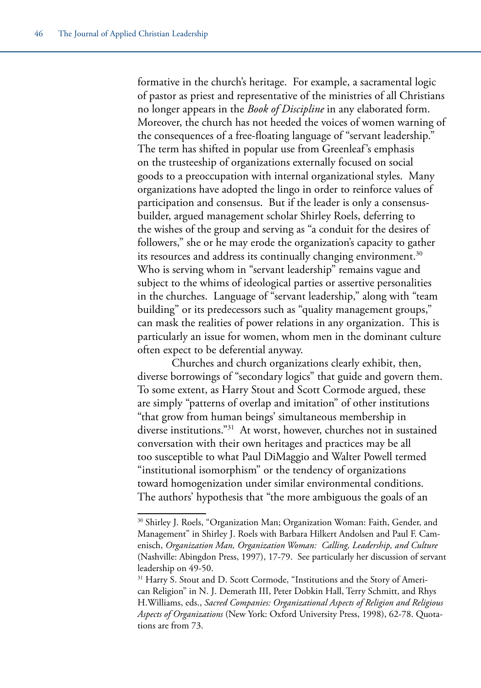formative in the church's heritage. For example, a sacramental logic of pastor as priest and representative of the ministries of all Christians no longer appears in the *Book of Discipline* in any elaborated form. Moreover, the church has not heeded the voices of women warning of the consequences of a free-floating language of "servant leadership." The term has shifted in popular use from Greenleaf's emphasis on the trusteeship of organizations externally focused on social goods to a preoccupation with internal organizational styles. Many organizations have adopted the lingo in order to reinforce values of participation and consensus. But if the leader is only a consensusbuilder, argued management scholar Shirley Roels, deferring to the wishes of the group and serving as "a conduit for the desires of followers," she or he may erode the organization's capacity to gather its resources and address its continually changing environment.<sup>30</sup> Who is serving whom in "servant leadership" remains vague and subject to the whims of ideological parties or assertive personalities in the churches. Language of "servant leadership," along with "team building" or its predecessors such as "quality management groups," can mask the realities of power relations in any organization. This is particularly an issue for women, whom men in the dominant culture often expect to be deferential anyway.

Churches and church organizations clearly exhibit, then, diverse borrowings of "secondary logics" that guide and govern them. To some extent, as Harry Stout and Scott Cormode argued, these are simply "patterns of overlap and imitation" of other institutions "that grow from human beings' simultaneous membership in diverse institutions."31 At worst, however, churches not in sustained conversation with their own heritages and practices may be all too susceptible to what Paul DiMaggio and Walter Powell termed "institutional isomorphism" or the tendency of organizations toward homogenization under similar environmental conditions. The authors' hypothesis that "the more ambiguous the goals of an

<sup>&</sup>lt;sup>30</sup> Shirley J. Roels, "Organization Man; Organization Woman: Faith, Gender, and Management" in Shirley J. Roels with Barbara Hilkert Andolsen and Paul F. Camenisch, *Organization Man, Organization Woman: Calling, Leadership, and Culture* (Nashville: Abingdon Press, 1997), 17-79. See particularly her discussion of servant leadership on 49-50.

<sup>&</sup>lt;sup>31</sup> Harry S. Stout and D. Scott Cormode, "Institutions and the Story of American Religion" in N. J. Demerath III, Peter Dobkin Hall, Terry Schmitt, and Rhys H.Williams, eds., *Sacred Companies: Organizational Aspects of Religion and Religious Aspects of Organizations* (New York: Oxford University Press, 1998), 62-78. Quotations are from 73.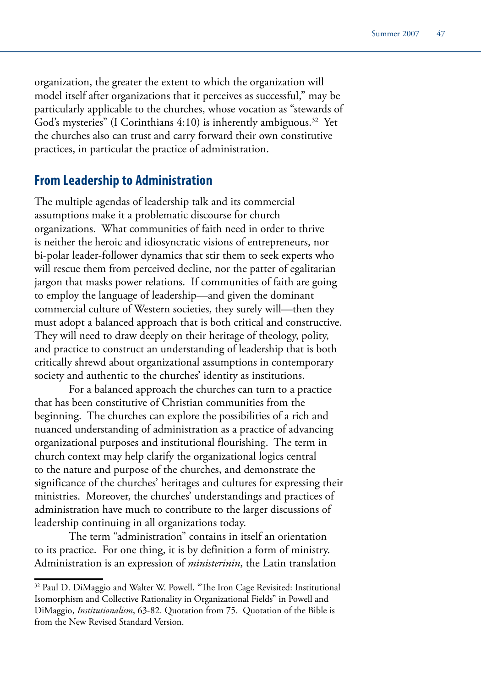organization, the greater the extent to which the organization will model itself after organizations that it perceives as successful," may be particularly applicable to the churches, whose vocation as "stewards of God's mysteries" (I Corinthians  $4:10$ ) is inherently ambiguous.<sup>32</sup> Yet the churches also can trust and carry forward their own constitutive practices, in particular the practice of administration.

#### **From Leadership to Administration**

The multiple agendas of leadership talk and its commercial assumptions make it a problematic discourse for church organizations. What communities of faith need in order to thrive is neither the heroic and idiosyncratic visions of entrepreneurs, nor bi-polar leader-follower dynamics that stir them to seek experts who will rescue them from perceived decline, nor the patter of egalitarian jargon that masks power relations. If communities of faith are going to employ the language of leadership—and given the dominant commercial culture of Western societies, they surely will—then they must adopt a balanced approach that is both critical and constructive. They will need to draw deeply on their heritage of theology, polity, and practice to construct an understanding of leadership that is both critically shrewd about organizational assumptions in contemporary society and authentic to the churches' identity as institutions.

For a balanced approach the churches can turn to a practice that has been constitutive of Christian communities from the beginning. The churches can explore the possibilities of a rich and nuanced understanding of administration as a practice of advancing organizational purposes and institutional flourishing. The term in church context may help clarify the organizational logics central to the nature and purpose of the churches, and demonstrate the significance of the churches' heritages and cultures for expressing their ministries. Moreover, the churches' understandings and practices of administration have much to contribute to the larger discussions of leadership continuing in all organizations today.

The term "administration" contains in itself an orientation to its practice. For one thing, it is by definition a form of ministry. Administration is an expression of *ministerinin*, the Latin translation

<sup>&</sup>lt;sup>32</sup> Paul D. DiMaggio and Walter W. Powell, "The Iron Cage Revisited: Institutional Isomorphism and Collective Rationality in Organizational Fields" in Powell and DiMaggio, *Institutionalism*, 63-82. Quotation from 75. Quotation of the Bible is from the New Revised Standard Version.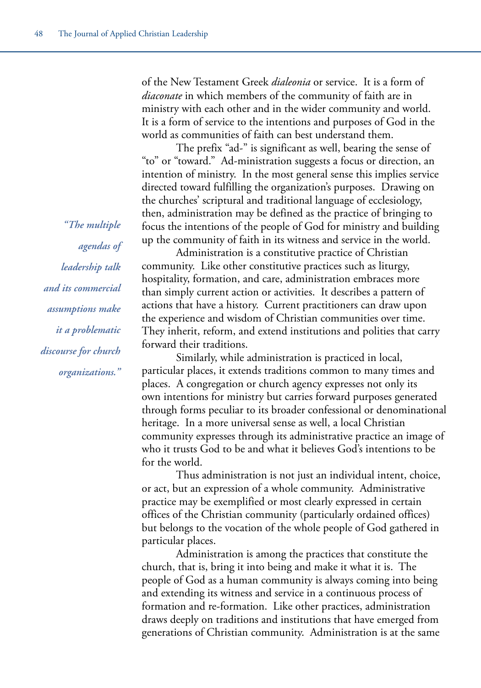of the New Testament Greek *dialeonia* or service. It is a form of *diaconate* in which members of the community of faith are in ministry with each other and in the wider community and world. It is a form of service to the intentions and purposes of God in the world as communities of faith can best understand them.

The prefix "ad-" is significant as well, bearing the sense of "to" or "toward." Ad-ministration suggests a focus or direction, an intention of ministry. In the most general sense this implies service directed toward fulfilling the organization's purposes. Drawing on the churches' scriptural and traditional language of ecclesiology, then, administration may be defined as the practice of bringing to focus the intentions of the people of God for ministry and building up the community of faith in its witness and service in the world.

Administration is a constitutive practice of Christian community. Like other constitutive practices such as liturgy, hospitality, formation, and care, administration embraces more than simply current action or activities. It describes a pattern of actions that have a history. Current practitioners can draw upon the experience and wisdom of Christian communities over time. They inherit, reform, and extend institutions and polities that carry forward their traditions.

Similarly, while administration is practiced in local, particular places, it extends traditions common to many times and places. A congregation or church agency expresses not only its own intentions for ministry but carries forward purposes generated through forms peculiar to its broader confessional or denominational heritage. In a more universal sense as well, a local Christian community expresses through its administrative practice an image of who it trusts God to be and what it believes God's intentions to be for the world.

Thus administration is not just an individual intent, choice, or act, but an expression of a whole community. Administrative practice may be exemplified or most clearly expressed in certain offices of the Christian community (particularly ordained offices) but belongs to the vocation of the whole people of God gathered in particular places.

Administration is among the practices that constitute the church, that is, bring it into being and make it what it is. The people of God as a human community is always coming into being and extending its witness and service in a continuous process of formation and re-formation. Like other practices, administration draws deeply on traditions and institutions that have emerged from generations of Christian community. Administration is at the same

*"The multiple agendas of leadership talk and its commercial assumptions make it a problematic discourse for church organizations."*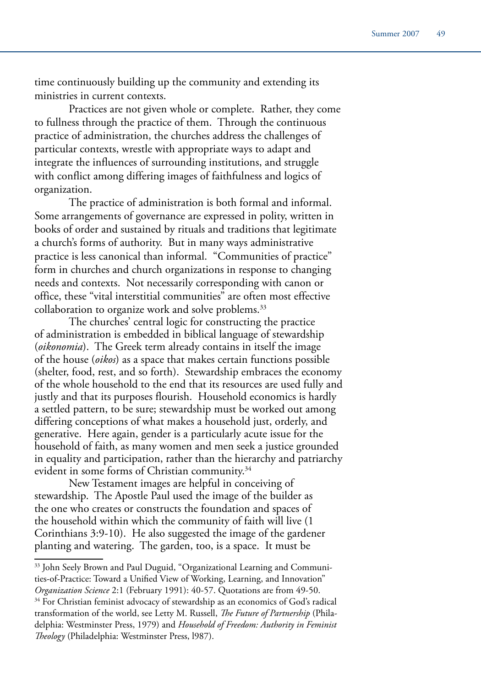time continuously building up the community and extending its ministries in current contexts.

Practices are not given whole or complete. Rather, they come to fullness through the practice of them. Through the continuous practice of administration, the churches address the challenges of particular contexts, wrestle with appropriate ways to adapt and integrate the influences of surrounding institutions, and struggle with conflict among differing images of faithfulness and logics of organization.

The practice of administration is both formal and informal. Some arrangements of governance are expressed in polity, written in books of order and sustained by rituals and traditions that legitimate a church's forms of authority. But in many ways administrative practice is less canonical than informal. "Communities of practice" form in churches and church organizations in response to changing needs and contexts. Not necessarily corresponding with canon or office, these "vital interstitial communities" are often most effective collaboration to organize work and solve problems.<sup>33</sup>

The churches' central logic for constructing the practice of administration is embedded in biblical language of stewardship (*oikonomia*). The Greek term already contains in itself the image of the house (*oikos*) as a space that makes certain functions possible (shelter, food, rest, and so forth). Stewardship embraces the economy of the whole household to the end that its resources are used fully and justly and that its purposes flourish. Household economics is hardly a settled pattern, to be sure; stewardship must be worked out among differing conceptions of what makes a household just, orderly, and generative. Here again, gender is a particularly acute issue for the household of faith, as many women and men seek a justice grounded in equality and participation, rather than the hierarchy and patriarchy evident in some forms of Christian community.<sup>34</sup>

New Testament images are helpful in conceiving of stewardship. The Apostle Paul used the image of the builder as the one who creates or constructs the foundation and spaces of the household within which the community of faith will live (1 Corinthians 3:9-10). He also suggested the image of the gardener planting and watering. The garden, too, is a space. It must be

<sup>&</sup>lt;sup>33</sup> John Seely Brown and Paul Duguid, "Organizational Learning and Communities-of-Practice: Toward a Unified View of Working, Learning, and Innovation" *Organization Science* 2:1 (February 1991): 40-57. Quotations are from 49-50.  $34$  For Christian feminist advocacy of stewardship as an economics of God's radical transformation of the world, see Letty M. Russell, *The Future of Partnership* (Philadelphia: Westminster Press, 1979) and *Household of Freedom: Authority in Feminist* 

*Theology* (Philadelphia: Westminster Press, l987).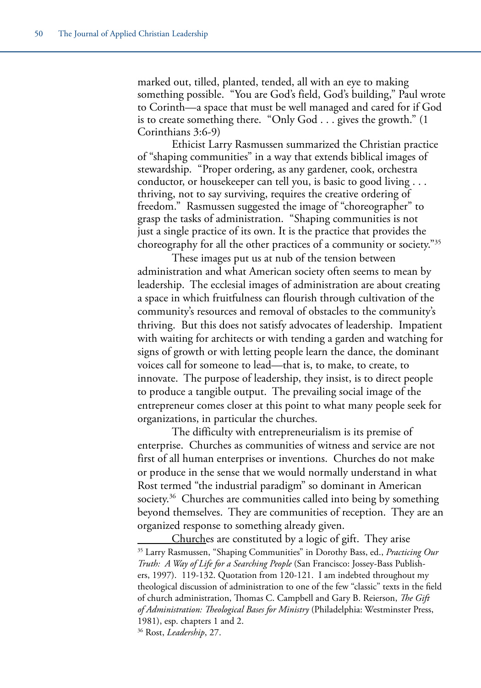marked out, tilled, planted, tended, all with an eye to making something possible. "You are God's field, God's building," Paul wrote to Corinth—a space that must be well managed and cared for if God is to create something there. "Only God . . . gives the growth." (1 Corinthians 3:6-9)

Ethicist Larry Rasmussen summarized the Christian practice of "shaping communities" in a way that extends biblical images of stewardship. "Proper ordering, as any gardener, cook, orchestra conductor, or housekeeper can tell you, is basic to good living . . . thriving, not to say surviving, requires the creative ordering of freedom." Rasmussen suggested the image of "choreographer" to grasp the tasks of administration. "Shaping communities is not just a single practice of its own. It is the practice that provides the choreography for all the other practices of a community or society."35

These images put us at nub of the tension between administration and what American society often seems to mean by leadership. The ecclesial images of administration are about creating a space in which fruitfulness can flourish through cultivation of the community's resources and removal of obstacles to the community's thriving. But this does not satisfy advocates of leadership. Impatient with waiting for architects or with tending a garden and watching for signs of growth or with letting people learn the dance, the dominant voices call for someone to lead—that is, to make, to create, to innovate. The purpose of leadership, they insist, is to direct people to produce a tangible output. The prevailing social image of the entrepreneur comes closer at this point to what many people seek for organizations, in particular the churches.

The difficulty with entrepreneurialism is its premise of enterprise. Churches as communities of witness and service are not first of all human enterprises or inventions. Churches do not make or produce in the sense that we would normally understand in what Rost termed "the industrial paradigm" so dominant in American society.<sup>36</sup> Churches are communities called into being by something beyond themselves. They are communities of reception. They are an organized response to something already given.

Churches are constituted by a logic of gift. They arise 35 Larry Rasmussen, "Shaping Communities" in Dorothy Bass, ed., *Practicing Our Truth: A Way of Life for a Searching People* (San Francisco: Jossey-Bass Publishers, 1997). 119-132. Quotation from 120-121. I am indebted throughout my theological discussion of administration to one of the few "classic" texts in the field of church administration, Thomas C. Campbell and Gary B. Reierson, *The Gift of Administration: Theological Bases for Ministry* (Philadelphia: Westminster Press, 1981), esp. chapters 1 and 2.

<sup>36</sup> Rost, *Leadership*, 27.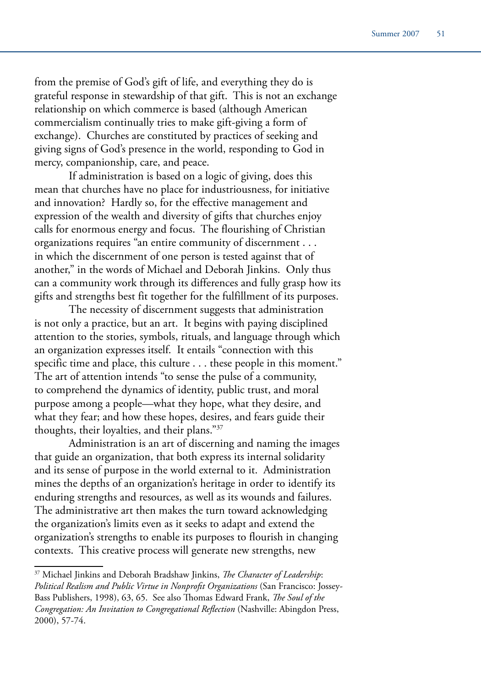from the premise of God's gift of life, and everything they do is grateful response in stewardship of that gift. This is not an exchange relationship on which commerce is based (although American commercialism continually tries to make gift-giving a form of exchange). Churches are constituted by practices of seeking and giving signs of God's presence in the world, responding to God in mercy, companionship, care, and peace.

If administration is based on a logic of giving, does this mean that churches have no place for industriousness, for initiative and innovation? Hardly so, for the effective management and expression of the wealth and diversity of gifts that churches enjoy calls for enormous energy and focus. The flourishing of Christian organizations requires "an entire community of discernment . . . in which the discernment of one person is tested against that of another," in the words of Michael and Deborah Jinkins. Only thus can a community work through its differences and fully grasp how its gifts and strengths best fit together for the fulfillment of its purposes.

The necessity of discernment suggests that administration is not only a practice, but an art. It begins with paying disciplined attention to the stories, symbols, rituals, and language through which an organization expresses itself. It entails "connection with this specific time and place, this culture . . . these people in this moment." The art of attention intends "to sense the pulse of a community, to comprehend the dynamics of identity, public trust, and moral purpose among a people—what they hope, what they desire, and what they fear; and how these hopes, desires, and fears guide their thoughts, their loyalties, and their plans."37

Administration is an art of discerning and naming the images that guide an organization, that both express its internal solidarity and its sense of purpose in the world external to it. Administration mines the depths of an organization's heritage in order to identify its enduring strengths and resources, as well as its wounds and failures. The administrative art then makes the turn toward acknowledging the organization's limits even as it seeks to adapt and extend the organization's strengths to enable its purposes to flourish in changing contexts. This creative process will generate new strengths, new

<sup>37</sup> Michael Jinkins and Deborah Bradshaw Jinkins, *The Character of Leadership*: *Political Realism and Public Virtue in Nonprofit Organizations* (San Francisco: Jossey-Bass Publishers, 1998), 63, 65. See also Thomas Edward Frank, *The Soul of the Congregation: An Invitation to Congregational Reflection* (Nashville: Abingdon Press, 2000), 57-74.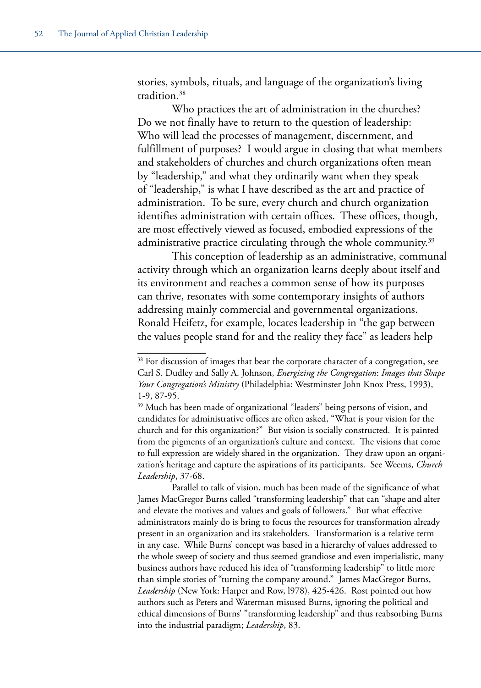stories, symbols, rituals, and language of the organization's living tradition.<sup>38</sup>

Who practices the art of administration in the churches? Do we not finally have to return to the question of leadership: Who will lead the processes of management, discernment, and fulfillment of purposes? I would argue in closing that what members and stakeholders of churches and church organizations often mean by "leadership," and what they ordinarily want when they speak of "leadership," is what I have described as the art and practice of administration. To be sure, every church and church organization identifies administration with certain offices. These offices, though, are most effectively viewed as focused, embodied expressions of the administrative practice circulating through the whole community.<sup>39</sup>

This conception of leadership as an administrative, communal activity through which an organization learns deeply about itself and its environment and reaches a common sense of how its purposes can thrive, resonates with some contemporary insights of authors addressing mainly commercial and governmental organizations. Ronald Heifetz, for example, locates leadership in "the gap between the values people stand for and the reality they face" as leaders help

Parallel to talk of vision, much has been made of the significance of what James MacGregor Burns called "transforming leadership" that can "shape and alter and elevate the motives and values and goals of followers." But what effective administrators mainly do is bring to focus the resources for transformation already present in an organization and its stakeholders. Transformation is a relative term in any case. While Burns' concept was based in a hierarchy of values addressed to the whole sweep of society and thus seemed grandiose and even imperialistic, many business authors have reduced his idea of "transforming leadership" to little more than simple stories of "turning the company around." James MacGregor Burns, *Leadership* (New York: Harper and Row, l978), 425-426. Rost pointed out how authors such as Peters and Waterman misused Burns, ignoring the political and ethical dimensions of Burns' "transforming leadership" and thus reabsorbing Burns into the industrial paradigm; *Leadership*, 83.

<sup>&</sup>lt;sup>38</sup> For discussion of images that bear the corporate character of a congregation, see Carl S. Dudley and Sally A. Johnson, *Energizing the Congregation*: *Images that Shape Your Congregation's Ministry* (Philadelphia: Westminster John Knox Press, 1993), 1-9, 87-95.

<sup>&</sup>lt;sup>39</sup> Much has been made of organizational "leaders" being persons of vision, and candidates for administrative offices are often asked, "What is your vision for the church and for this organization?" But vision is socially constructed. It is painted from the pigments of an organization's culture and context. The visions that come to full expression are widely shared in the organization. They draw upon an organization's heritage and capture the aspirations of its participants. See Weems, *Church Leadership*, 37-68.